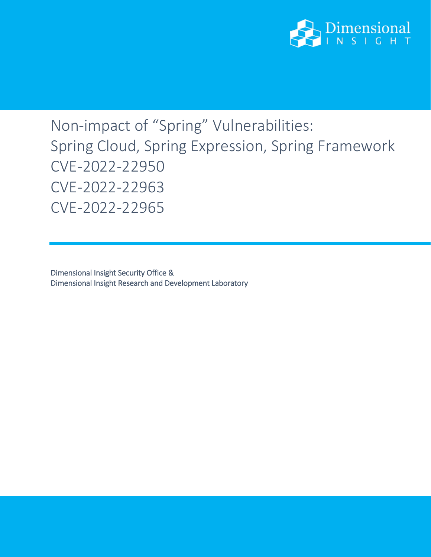

## Non-impact of "Spring" Vulnerabilities: Spring Cloud, Spring Expression, Spring Framework CVE-2022-22950 CVE-2022-22963 CVE-2022-22965

Dimensional Insight Security Office & Dimensional Insight Research and Development Laboratory